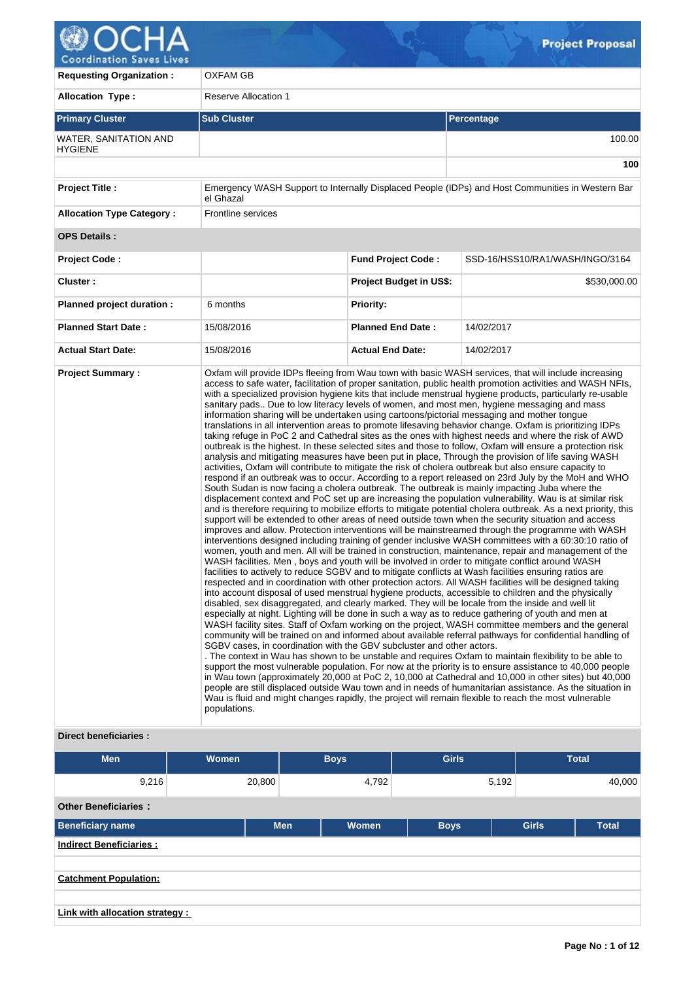

| <b>Requesting Organization:</b>                | OXFAM GB                                                                                                                                                                                                                                                                                                                                                                                                                                                                                      |                                |                                                                                                                                                                                                                                                                                                                                                                                                                                                                                                                                                                                                                                                                                                                                                                                                                                                                                                                                                                                                                                                                                                                                                                                                                                                                                                                                                                                                                                                                                                                                                                                                                                                                                                                                                                                                                                                                                                                                                                                                                                                                                                                                                                                                                                                                                                                                                                                                                                                                                                                                                                                                                                                                                                                                                                                                                                                                                                                                                            |  |  |
|------------------------------------------------|-----------------------------------------------------------------------------------------------------------------------------------------------------------------------------------------------------------------------------------------------------------------------------------------------------------------------------------------------------------------------------------------------------------------------------------------------------------------------------------------------|--------------------------------|------------------------------------------------------------------------------------------------------------------------------------------------------------------------------------------------------------------------------------------------------------------------------------------------------------------------------------------------------------------------------------------------------------------------------------------------------------------------------------------------------------------------------------------------------------------------------------------------------------------------------------------------------------------------------------------------------------------------------------------------------------------------------------------------------------------------------------------------------------------------------------------------------------------------------------------------------------------------------------------------------------------------------------------------------------------------------------------------------------------------------------------------------------------------------------------------------------------------------------------------------------------------------------------------------------------------------------------------------------------------------------------------------------------------------------------------------------------------------------------------------------------------------------------------------------------------------------------------------------------------------------------------------------------------------------------------------------------------------------------------------------------------------------------------------------------------------------------------------------------------------------------------------------------------------------------------------------------------------------------------------------------------------------------------------------------------------------------------------------------------------------------------------------------------------------------------------------------------------------------------------------------------------------------------------------------------------------------------------------------------------------------------------------------------------------------------------------------------------------------------------------------------------------------------------------------------------------------------------------------------------------------------------------------------------------------------------------------------------------------------------------------------------------------------------------------------------------------------------------------------------------------------------------------------------------------------------------|--|--|
| <b>Allocation Type:</b>                        | <b>Reserve Allocation 1</b>                                                                                                                                                                                                                                                                                                                                                                                                                                                                   |                                |                                                                                                                                                                                                                                                                                                                                                                                                                                                                                                                                                                                                                                                                                                                                                                                                                                                                                                                                                                                                                                                                                                                                                                                                                                                                                                                                                                                                                                                                                                                                                                                                                                                                                                                                                                                                                                                                                                                                                                                                                                                                                                                                                                                                                                                                                                                                                                                                                                                                                                                                                                                                                                                                                                                                                                                                                                                                                                                                                            |  |  |
| <b>Primary Cluster</b>                         | <b>Sub Cluster</b><br>Percentage                                                                                                                                                                                                                                                                                                                                                                                                                                                              |                                |                                                                                                                                                                                                                                                                                                                                                                                                                                                                                                                                                                                                                                                                                                                                                                                                                                                                                                                                                                                                                                                                                                                                                                                                                                                                                                                                                                                                                                                                                                                                                                                                                                                                                                                                                                                                                                                                                                                                                                                                                                                                                                                                                                                                                                                                                                                                                                                                                                                                                                                                                                                                                                                                                                                                                                                                                                                                                                                                                            |  |  |
| <b>WATER, SANITATION AND</b><br><b>HYGIENE</b> |                                                                                                                                                                                                                                                                                                                                                                                                                                                                                               |                                |                                                                                                                                                                                                                                                                                                                                                                                                                                                                                                                                                                                                                                                                                                                                                                                                                                                                                                                                                                                                                                                                                                                                                                                                                                                                                                                                                                                                                                                                                                                                                                                                                                                                                                                                                                                                                                                                                                                                                                                                                                                                                                                                                                                                                                                                                                                                                                                                                                                                                                                                                                                                                                                                                                                                                                                                                                                                                                                                                            |  |  |
|                                                |                                                                                                                                                                                                                                                                                                                                                                                                                                                                                               |                                | 100                                                                                                                                                                                                                                                                                                                                                                                                                                                                                                                                                                                                                                                                                                                                                                                                                                                                                                                                                                                                                                                                                                                                                                                                                                                                                                                                                                                                                                                                                                                                                                                                                                                                                                                                                                                                                                                                                                                                                                                                                                                                                                                                                                                                                                                                                                                                                                                                                                                                                                                                                                                                                                                                                                                                                                                                                                                                                                                                                        |  |  |
| <b>Project Title:</b>                          | el Ghazal                                                                                                                                                                                                                                                                                                                                                                                                                                                                                     |                                | Emergency WASH Support to Internally Displaced People (IDPs) and Host Communities in Western Bar                                                                                                                                                                                                                                                                                                                                                                                                                                                                                                                                                                                                                                                                                                                                                                                                                                                                                                                                                                                                                                                                                                                                                                                                                                                                                                                                                                                                                                                                                                                                                                                                                                                                                                                                                                                                                                                                                                                                                                                                                                                                                                                                                                                                                                                                                                                                                                                                                                                                                                                                                                                                                                                                                                                                                                                                                                                           |  |  |
| <b>Allocation Type Category:</b>               | <b>Frontline services</b>                                                                                                                                                                                                                                                                                                                                                                                                                                                                     |                                |                                                                                                                                                                                                                                                                                                                                                                                                                                                                                                                                                                                                                                                                                                                                                                                                                                                                                                                                                                                                                                                                                                                                                                                                                                                                                                                                                                                                                                                                                                                                                                                                                                                                                                                                                                                                                                                                                                                                                                                                                                                                                                                                                                                                                                                                                                                                                                                                                                                                                                                                                                                                                                                                                                                                                                                                                                                                                                                                                            |  |  |
| <b>OPS Details:</b>                            |                                                                                                                                                                                                                                                                                                                                                                                                                                                                                               |                                |                                                                                                                                                                                                                                                                                                                                                                                                                                                                                                                                                                                                                                                                                                                                                                                                                                                                                                                                                                                                                                                                                                                                                                                                                                                                                                                                                                                                                                                                                                                                                                                                                                                                                                                                                                                                                                                                                                                                                                                                                                                                                                                                                                                                                                                                                                                                                                                                                                                                                                                                                                                                                                                                                                                                                                                                                                                                                                                                                            |  |  |
| <b>Project Code:</b>                           |                                                                                                                                                                                                                                                                                                                                                                                                                                                                                               | <b>Fund Project Code:</b>      | SSD-16/HSS10/RA1/WASH/INGO/3164                                                                                                                                                                                                                                                                                                                                                                                                                                                                                                                                                                                                                                                                                                                                                                                                                                                                                                                                                                                                                                                                                                                                                                                                                                                                                                                                                                                                                                                                                                                                                                                                                                                                                                                                                                                                                                                                                                                                                                                                                                                                                                                                                                                                                                                                                                                                                                                                                                                                                                                                                                                                                                                                                                                                                                                                                                                                                                                            |  |  |
| Cluster:                                       |                                                                                                                                                                                                                                                                                                                                                                                                                                                                                               | <b>Project Budget in US\$:</b> | \$530,000.00                                                                                                                                                                                                                                                                                                                                                                                                                                                                                                                                                                                                                                                                                                                                                                                                                                                                                                                                                                                                                                                                                                                                                                                                                                                                                                                                                                                                                                                                                                                                                                                                                                                                                                                                                                                                                                                                                                                                                                                                                                                                                                                                                                                                                                                                                                                                                                                                                                                                                                                                                                                                                                                                                                                                                                                                                                                                                                                                               |  |  |
| Planned project duration :                     | 6 months                                                                                                                                                                                                                                                                                                                                                                                                                                                                                      | Priority:                      |                                                                                                                                                                                                                                                                                                                                                                                                                                                                                                                                                                                                                                                                                                                                                                                                                                                                                                                                                                                                                                                                                                                                                                                                                                                                                                                                                                                                                                                                                                                                                                                                                                                                                                                                                                                                                                                                                                                                                                                                                                                                                                                                                                                                                                                                                                                                                                                                                                                                                                                                                                                                                                                                                                                                                                                                                                                                                                                                                            |  |  |
| <b>Planned Start Date:</b>                     | 15/08/2016                                                                                                                                                                                                                                                                                                                                                                                                                                                                                    | <b>Planned End Date:</b>       | 14/02/2017                                                                                                                                                                                                                                                                                                                                                                                                                                                                                                                                                                                                                                                                                                                                                                                                                                                                                                                                                                                                                                                                                                                                                                                                                                                                                                                                                                                                                                                                                                                                                                                                                                                                                                                                                                                                                                                                                                                                                                                                                                                                                                                                                                                                                                                                                                                                                                                                                                                                                                                                                                                                                                                                                                                                                                                                                                                                                                                                                 |  |  |
| <b>Actual Start Date:</b>                      | 15/08/2016                                                                                                                                                                                                                                                                                                                                                                                                                                                                                    | <b>Actual End Date:</b>        | 14/02/2017                                                                                                                                                                                                                                                                                                                                                                                                                                                                                                                                                                                                                                                                                                                                                                                                                                                                                                                                                                                                                                                                                                                                                                                                                                                                                                                                                                                                                                                                                                                                                                                                                                                                                                                                                                                                                                                                                                                                                                                                                                                                                                                                                                                                                                                                                                                                                                                                                                                                                                                                                                                                                                                                                                                                                                                                                                                                                                                                                 |  |  |
| <b>Project Summary:</b>                        | information sharing will be undertaken using cartoons/pictorial messaging and mother tongue<br>South Sudan is now facing a cholera outbreak. The outbreak is mainly impacting Juba where the<br>WASH facilities. Men, boys and youth will be involved in order to mitigate conflict around WASH<br>disabled, sex disaggregated, and clearly marked. They will be locale from the inside and well lit<br>SGBV cases, in coordination with the GBV subcluster and other actors.<br>populations. |                                | Oxfam will provide IDPs fleeing from Wau town with basic WASH services, that will include increasing<br>access to safe water, facilitation of proper sanitation, public health promotion activities and WASH NFIs,<br>with a specialized provision hygiene kits that include menstrual hygiene products, particularly re-usable<br>sanitary pads Due to low literacy levels of women, and most men, hygiene messaging and mass<br>translations in all intervention areas to promote lifesaving behavior change. Oxfam is prioritizing IDPs<br>taking refuge in PoC 2 and Cathedral sites as the ones with highest needs and where the risk of AWD<br>outbreak is the highest. In these selected sites and those to follow, Oxfam will ensure a protection risk<br>analysis and mitigating measures have been put in place, Through the provision of life saving WASH<br>activities, Oxfam will contribute to mitigate the risk of cholera outbreak but also ensure capacity to<br>respond if an outbreak was to occur. According to a report released on 23rd July by the MoH and WHO<br>displacement context and PoC set up are increasing the population vulnerability. Wau is at similar risk<br>and is therefore requiring to mobilize efforts to mitigate potential cholera outbreak. As a next priority, this<br>support will be extended to other areas of need outside town when the security situation and access<br>improves and allow. Protection interventions will be mainstreamed through the programme with WASH<br>interventions designed including training of gender inclusive WASH committees with a 60:30:10 ratio of<br>women, youth and men. All will be trained in construction, maintenance, repair and management of the<br>facilities to actively to reduce SGBV and to mitigate conflicts at Wash facilities ensuring ratios are<br>respected and in coordination with other protection actors. All WASH facilities will be designed taking<br>into account disposal of used menstrual hygiene products, accessible to children and the physically<br>especially at night. Lighting will be done in such a way as to reduce gathering of youth and men at<br>WASH facility sites. Staff of Oxfam working on the project, WASH committee members and the general<br>community will be trained on and informed about available referral pathways for confidential handling of<br>. The context in Wau has shown to be unstable and requires Oxfam to maintain flexibility to be able to<br>support the most vulnerable population. For now at the priority is to ensure assistance to 40,000 people<br>in Wau town (approximately 20,000 at PoC 2, 10,000 at Cathedral and 10,000 in other sites) but 40,000<br>people are still displaced outside Wau town and in needs of humanitarian assistance. As the situation in<br>Wau is fluid and might changes rapidly, the project will remain flexible to reach the most vulnerable |  |  |

 $Q_{\text{max}}^{\text{C}}$ 

# **Direct beneficiaries :**

| <b>Men</b>                      | Women  | <b>Boys</b>         | <b>Girls</b> | <b>Total</b>                 |
|---------------------------------|--------|---------------------|--------------|------------------------------|
| 9,216                           | 20,800 | 4,792               | 5,192        | 40,000                       |
| <b>Other Beneficiaries:</b>     |        |                     |              |                              |
| <b>Beneficiary name</b>         |        | <b>Men</b><br>Women | <b>Boys</b>  | <b>Girls</b><br><b>Total</b> |
| <b>Indirect Beneficiaries:</b>  |        |                     |              |                              |
|                                 |        |                     |              |                              |
| <b>Catchment Population:</b>    |        |                     |              |                              |
|                                 |        |                     |              |                              |
| Link with allocation strategy : |        |                     |              |                              |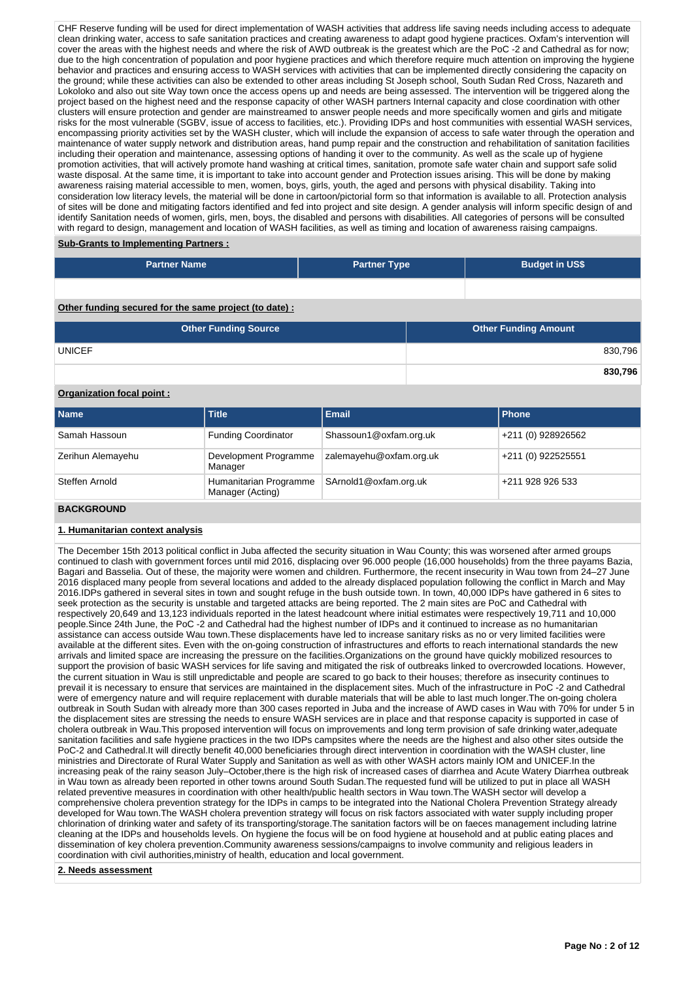CHF Reserve funding will be used for direct implementation of WASH activities that address life saving needs including access to adequate clean drinking water, access to safe sanitation practices and creating awareness to adapt good hygiene practices. Oxfam's intervention will cover the areas with the highest needs and where the risk of AWD outbreak is the greatest which are the PoC -2 and Cathedral as for now; due to the high concentration of population and poor hygiene practices and which therefore require much attention on improving the hygiene behavior and practices and ensuring access to WASH services with activities that can be implemented directly considering the capacity on the ground; while these activities can also be extended to other areas including St Joseph school, South Sudan Red Cross, Nazareth and Lokoloko and also out site Way town once the access opens up and needs are being assessed. The intervention will be triggered along the project based on the highest need and the response capacity of other WASH partners Internal capacity and close coordination with other clusters will ensure protection and gender are mainstreamed to answer people needs and more specifically women and girls and mitigate risks for the most vulnerable (SGBV, issue of access to facilities, etc.). Providing IDPs and host communities with essential WASH services, encompassing priority activities set by the WASH cluster, which will include the expansion of access to safe water through the operation and maintenance of water supply network and distribution areas, hand pump repair and the construction and rehabilitation of sanitation facilities including their operation and maintenance, assessing options of handing it over to the community. As well as the scale up of hygiene promotion activities, that will actively promote hand washing at critical times, sanitation, promote safe water chain and support safe solid waste disposal. At the same time, it is important to take into account gender and Protection issues arising. This will be done by making awareness raising material accessible to men, women, boys, girls, youth, the aged and persons with physical disability. Taking into consideration low literacy levels, the material will be done in cartoon/pictorial form so that information is available to all. Protection analysis of sites will be done and mitigating factors identified and fed into project and site design. A gender analysis will inform specific design of and identify Sanitation needs of women, girls, men, boys, the disabled and persons with disabilities. All categories of persons will be consulted with regard to design, management and location of WASH facilities, as well as timing and location of awareness raising campaigns.

**Sub-Grants to Implementing Partners :**

| <b>Partner Name</b>                                   | <b>Partner Type</b> | <b>Budget in US\$</b>       |         |
|-------------------------------------------------------|---------------------|-----------------------------|---------|
|                                                       |                     |                             |         |
| Other funding secured for the same project (to date): |                     |                             |         |
| <b>Other Funding Source</b>                           |                     | <b>Other Funding Amount</b> |         |
| <b>UNICEF</b>                                         |                     |                             | 830,796 |
|                                                       |                     |                             | 830,796 |

# **Organization focal point :**

| l Name            | <b>Title</b>                               | Email                   | l Phone            |
|-------------------|--------------------------------------------|-------------------------|--------------------|
| Samah Hassoun     | <b>Funding Coordinator</b>                 | Shassoun1@oxfam.org.uk  | +211 (0) 928926562 |
| Zerihun Alemayehu | Development Programme<br>Manager           | zalemayehu@oxfam.org.uk | +211 (0) 922525551 |
| Steffen Arnold    | Humanitarian Programme<br>Manager (Acting) | SArnold1@oxfam.org.uk   | +211 928 926 533   |

## **BACKGROUND**

#### **1. Humanitarian context analysis**

The December 15th 2013 political conflict in Juba affected the security situation in Wau County; this was worsened after armed groups continued to clash with government forces until mid 2016, displacing over 96.000 people (16,000 households) from the three payams Bazia, Bagari and Basselia. Out of these, the majority were women and children. Furthermore, the recent insecurity in Wau town from 24–27 June 2016 displaced many people from several locations and added to the already displaced population following the conflict in March and May 2016.IDPs gathered in several sites in town and sought refuge in the bush outside town. In town, 40,000 IDPs have gathered in 6 sites to seek protection as the security is unstable and targeted attacks are being reported. The 2 main sites are PoC and Cathedral with respectively 20,649 and 13,123 individuals reported in the latest headcount where initial estimates were respectively 19,711 and 10,000 people.Since 24th June, the PoC -2 and Cathedral had the highest number of IDPs and it continued to increase as no humanitarian assistance can access outside Wau town.These displacements have led to increase sanitary risks as no or very limited facilities were available at the different sites. Even with the on-going construction of infrastructures and efforts to reach international standards the new arrivals and limited space are increasing the pressure on the facilities.Organizations on the ground have quickly mobilized resources to support the provision of basic WASH services for life saving and mitigated the risk of outbreaks linked to overcrowded locations. However, the current situation in Wau is still unpredictable and people are scared to go back to their houses; therefore as insecurity continues to prevail it is necessary to ensure that services are maintained in the displacement sites. Much of the infrastructure in PoC -2 and Cathedral were of emergency nature and will require replacement with durable materials that will be able to last much longer.The on-going cholera outbreak in South Sudan with already more than 300 cases reported in Juba and the increase of AWD cases in Wau with 70% for under 5 in the displacement sites are stressing the needs to ensure WASH services are in place and that response capacity is supported in case of cholera outbreak in Wau.This proposed intervention will focus on improvements and long term provision of safe drinking water,adequate sanitation facilities and safe hygiene practices in the two IDPs campsites where the needs are the highest and also other sites outside the PoC-2 and Cathedral.It will directly benefit 40,000 beneficiaries through direct intervention in coordination with the WASH cluster, line ministries and Directorate of Rural Water Supply and Sanitation as well as with other WASH actors mainly IOM and UNICEF.In the increasing peak of the rainy season July–October,there is the high risk of increased cases of diarrhea and Acute Watery Diarrhea outbreak in Wau town as already been reported in other towns around South Sudan.The requested fund will be utilized to put in place all WASH related preventive measures in coordination with other health/public health sectors in Wau town.The WASH sector will develop a comprehensive cholera prevention strategy for the IDPs in camps to be integrated into the National Cholera Prevention Strategy already developed for Wau town.The WASH cholera prevention strategy will focus on risk factors associated with water supply including proper chlorination of drinking water and safety of its transporting/storage.The sanitation factors will be on faeces management including latrine cleaning at the IDPs and households levels. On hygiene the focus will be on food hygiene at household and at public eating places and dissemination of key cholera prevention.Community awareness sessions/campaigns to involve community and religious leaders in coordination with civil authorities,ministry of health, education and local government.

**2. Needs assessment**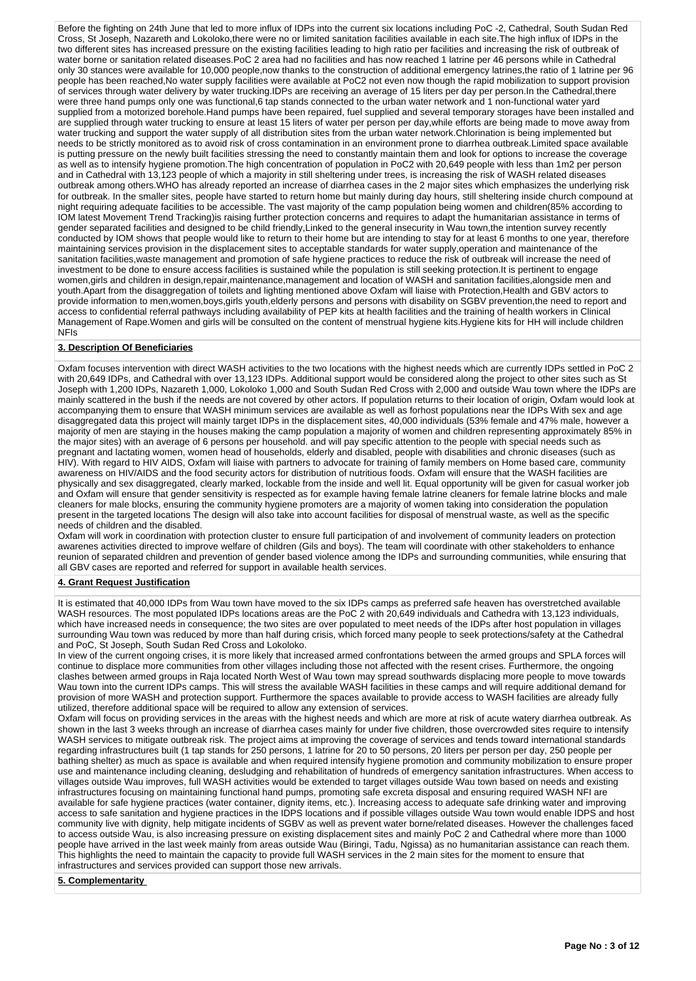Before the fighting on 24th June that led to more influx of IDPs into the current six locations including PoC -2, Cathedral, South Sudan Red Cross, St Joseph, Nazareth and Lokoloko,there were no or limited sanitation facilities available in each site.The high influx of IDPs in the two different sites has increased pressure on the existing facilities leading to high ratio per facilities and increasing the risk of outbreak of water borne or sanitation related diseases.PoC 2 area had no facilities and has now reached 1 latrine per 46 persons while in Cathedral only 30 stances were available for 10,000 people,now thanks to the construction of additional emergency latrines,the ratio of 1 latrine per 96 people has been reached,No water supply facilities were available at PoC2 not even now though the rapid mobilization to support provision of services through water delivery by water trucking.IDPs are receiving an average of 15 liters per day per person.In the Cathedral,there were three hand pumps only one was functional,6 tap stands connected to the urban water network and 1 non-functional water yard supplied from a motorized borehole.Hand pumps have been repaired, fuel supplied and several temporary storages have been installed and are supplied through water trucking to ensure at least 15 liters of water per person per day,while efforts are being made to move away from water trucking and support the water supply of all distribution sites from the urban water network.Chlorination is being implemented but needs to be strictly monitored as to avoid risk of cross contamination in an environment prone to diarrhea outbreak.Limited space available is putting pressure on the newly built facilities stressing the need to constantly maintain them and look for options to increase the coverage as well as to intensify hygiene promotion.The high concentration of population in PoC2 with 20,649 people with less than 1m2 per person and in Cathedral with 13,123 people of which a majority in still sheltering under trees, is increasing the risk of WASH related diseases outbreak among others.WHO has already reported an increase of diarrhea cases in the 2 major sites which emphasizes the underlying risk for outbreak. In the smaller sites, people have started to return home but mainly during day hours, still sheltering inside church compound at night requiring adequate facilities to be accessible. The vast majority of the camp population being women and children(85% according to IOM latest Movement Trend Tracking)is raising further protection concerns and requires to adapt the humanitarian assistance in terms of gender separated facilities and designed to be child friendly,Linked to the general insecurity in Wau town,the intention survey recently conducted by IOM shows that people would like to return to their home but are intending to stay for at least 6 months to one year, therefore maintaining services provision in the displacement sites to acceptable standards for water supply,operation and maintenance of the sanitation facilities,waste management and promotion of safe hygiene practices to reduce the risk of outbreak will increase the need of investment to be done to ensure access facilities is sustained while the population is still seeking protection.It is pertinent to engage women,girls and children in design,repair,maintenance,management and location of WASH and sanitation facilities,alongside men and youth.Apart from the disaggregation of toilets and lighting mentioned above Oxfam will liaise with Protection,Health and GBV actors to provide information to men,women,boys,girls youth,elderly persons and persons with disability on SGBV prevention,the need to report and access to confidential referral pathways including availability of PEP kits at health facilities and the training of health workers in Clinical Management of Rape.Women and girls will be consulted on the content of menstrual hygiene kits.Hygiene kits for HH will include children NFIs

## **3. Description Of Beneficiaries**

Oxfam focuses intervention with direct WASH activities to the two locations with the highest needs which are currently IDPs settled in PoC 2 with 20,649 IDPs, and Cathedral with over 13,123 IDPs. Additional support would be considered along the project to other sites such as St Joseph with 1,200 IDPs, Nazareth 1,000, Lokoloko 1,000 and South Sudan Red Cross with 2,000 and outside Wau town where the IDPs are mainly scattered in the bush if the needs are not covered by other actors. If population returns to their location of origin, Oxfam would look at accompanying them to ensure that WASH minimum services are available as well as forhost populations near the IDPs With sex and age disaggregated data this project will mainly target IDPs in the displacement sites, 40,000 individuals (53% female and 47% male, however a majority of men are staying in the houses making the camp population a majority of women and children representing approximately 85% in the major sites) with an average of 6 persons per household. and will pay specific attention to the people with special needs such as pregnant and lactating women, women head of households, elderly and disabled, people with disabilities and chronic diseases (such as HIV). With regard to HIV AIDS, Oxfam will liaise with partners to advocate for training of family members on Home based care, community awareness on HIV/AIDS and the food security actors for distribution of nutritious foods. Oxfam will ensure that the WASH facilities are physically and sex disaggregated, clearly marked, lockable from the inside and well lit. Equal opportunity will be given for casual worker job and Oxfam will ensure that gender sensitivity is respected as for example having female latrine cleaners for female latrine blocks and male cleaners for male blocks, ensuring the community hygiene promoters are a majority of women taking into consideration the population present in the targeted locations The design will also take into account facilities for disposal of menstrual waste, as well as the specific needs of children and the disabled.

Oxfam will work in coordination with protection cluster to ensure full participation of and involvement of community leaders on protection awarenes activities directed to improve welfare of children (Gils and boys). The team will coordinate with other stakeholders to enhance reunion of separated children and prevention of gender based violence among the IDPs and surrounding communities, while ensuring that all GBV cases are reported and referred for support in available health services.

#### **4. Grant Request Justification**

It is estimated that 40,000 IDPs from Wau town have moved to the six IDPs camps as preferred safe heaven has overstretched available WASH resources. The most populated IDPs locations areas are the PoC 2 with 20,649 individuals and Cathedra with 13,123 individuals, which have increased needs in consequence; the two sites are over populated to meet needs of the IDPs after host population in villages surrounding Wau town was reduced by more than half during crisis, which forced many people to seek protections/safety at the Cathedral and PoC, St Joseph, South Sudan Red Cross and Lokoloko.

In view of the current ongoing crises, it is more likely that increased armed confrontations between the armed groups and SPLA forces will continue to displace more communities from other villages including those not affected with the resent crises. Furthermore, the ongoing clashes between armed groups in Raja located North West of Wau town may spread southwards displacing more people to move towards Wau town into the current IDPs camps. This will stress the available WASH facilities in these camps and will require additional demand for provision of more WASH and protection support. Furthermore the spaces available to provide access to WASH facilities are already fully utilized, therefore additional space will be required to allow any extension of services.

Oxfam will focus on providing services in the areas with the highest needs and which are more at risk of acute watery diarrhea outbreak. As shown in the last 3 weeks through an increase of diarrhea cases mainly for under five children, those overcrowded sites require to intensify WASH services to mitigate outbreak risk. The project aims at improving the coverage of services and tends toward international standards regarding infrastructures built (1 tap stands for 250 persons, 1 latrine for 20 to 50 persons, 20 liters per person per day, 250 people per bathing shelter) as much as space is available and when required intensify hygiene promotion and community mobilization to ensure proper use and maintenance including cleaning, desludging and rehabilitation of hundreds of emergency sanitation infrastructures. When access to villages outside Wau improves, full WASH activities would be extended to target villages outside Wau town based on needs and existing infrastructures focusing on maintaining functional hand pumps, promoting safe excreta disposal and ensuring required WASH NFI are available for safe hygiene practices (water container, dignity items, etc.). Increasing access to adequate safe drinking water and improving access to safe sanitation and hygiene practices in the IDPS locations and if possible villages outside Wau town would enable IDPS and host community live with dignity, help mitigate incidents of SGBV as well as prevent water borne/related diseases. However the challenges faced to access outside Wau, is also increasing pressure on existing displacement sites and mainly PoC 2 and Cathedral where more than 1000 people have arrived in the last week mainly from areas outside Wau (Biringi, Tadu, Ngissa) as no humanitarian assistance can reach them. This highlights the need to maintain the capacity to provide full WASH services in the 2 main sites for the moment to ensure that infrastructures and services provided can support those new arrivals.

**5. Complementarity**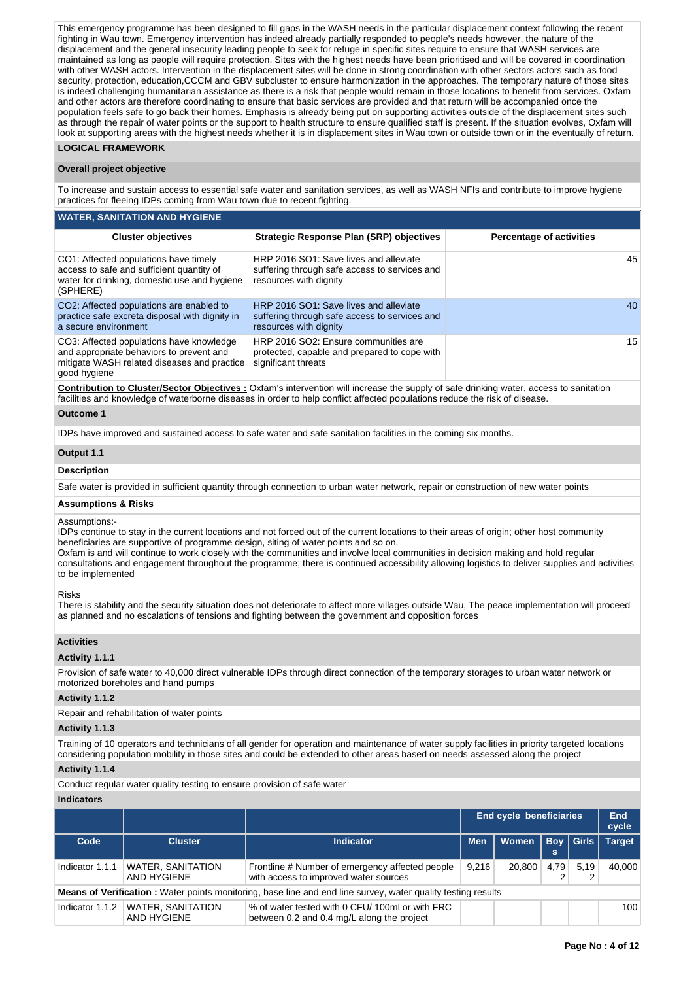This emergency programme has been designed to fill gaps in the WASH needs in the particular displacement context following the recent fighting in Wau town. Emergency intervention has indeed already partially responded to people's needs however, the nature of the displacement and the general insecurity leading people to seek for refuge in specific sites require to ensure that WASH services are maintained as long as people will require protection. Sites with the highest needs have been prioritised and will be covered in coordination with other WASH actors. Intervention in the displacement sites will be done in strong coordination with other sectors actors such as food security, protection, education,CCCM and GBV subcluster to ensure harmonization in the approaches. The temporary nature of those sites is indeed challenging humanitarian assistance as there is a risk that people would remain in those locations to benefit from services. Oxfam and other actors are therefore coordinating to ensure that basic services are provided and that return will be accompanied once the population feels safe to go back their homes. Emphasis is already being put on supporting activities outside of the displacement sites such as through the repair of water points or the support to health structure to ensure qualified staff is present. If the situation evolves, Oxfam will look at supporting areas with the highest needs whether it is in displacement sites in Wau town or outside town or in the eventually of return.

## **LOGICAL FRAMEWORK**

#### **Overall project objective**

To increase and sustain access to essential safe water and sanitation services, as well as WASH NFIs and contribute to improve hygiene practices for fleeing IDPs coming from Wau town due to recent fighting.

#### **WATER, SANITATION AND HYGIENE**

| <b>Cluster objectives</b>                                                                                                                           | <b>Strategic Response Plan (SRP) objectives</b>                                                                   | <b>Percentage of activities</b> |
|-----------------------------------------------------------------------------------------------------------------------------------------------------|-------------------------------------------------------------------------------------------------------------------|---------------------------------|
| CO1: Affected populations have timely<br>access to safe and sufficient quantity of<br>water for drinking, domestic use and hygiene<br>(SPHERE)      | HRP 2016 SO1: Save lives and alleviate<br>suffering through safe access to services and<br>resources with dignity | 45                              |
| CO2: Affected populations are enabled to<br>practice safe excreta disposal with dignity in<br>a secure environment                                  | HRP 2016 SO1: Save lives and alleviate<br>suffering through safe access to services and<br>resources with dignity | 40                              |
| CO3: Affected populations have knowledge<br>and appropriate behaviors to prevent and<br>mitigate WASH related diseases and practice<br>good hygiene | HRP 2016 SO2: Ensure communities are<br>protected, capable and prepared to cope with<br>significant threats       | 15                              |

**Contribution to Cluster/Sector Objectives :** Oxfam's intervention will increase the supply of safe drinking water, access to sanitation facilities and knowledge of waterborne diseases in order to help conflict affected populations reduce the risk of disease.

#### **Outcome 1**

IDPs have improved and sustained access to safe water and safe sanitation facilities in the coming six months.

#### **Output 1.1**

# **Description**

Safe water is provided in sufficient quantity through connection to urban water network, repair or construction of new water points

#### **Assumptions & Risks**

#### Assumptions:-

IDPs continue to stay in the current locations and not forced out of the current locations to their areas of origin; other host community beneficiaries are supportive of programme design, siting of water points and so on.

Oxfam is and will continue to work closely with the communities and involve local communities in decision making and hold regular consultations and engagement throughout the programme; there is continued accessibility allowing logistics to deliver supplies and activities to be implemented

#### Risks

There is stability and the security situation does not deteriorate to affect more villages outside Wau, The peace implementation will proceed as planned and no escalations of tensions and fighting between the government and opposition forces

## **Activities**

#### **Activity 1.1.1**

Provision of safe water to 40,000 direct vulnerable IDPs through direct connection of the temporary storages to urban water network or motorized boreholes and hand pumps

#### **Activity 1.1.2**

Repair and rehabilitation of water points

# **Activity 1.1.3**

Training of 10 operators and technicians of all gender for operation and maintenance of water supply facilities in priority targeted locations considering population mobility in those sites and could be extended to other areas based on needs assessed along the project

# **Activity 1.1.4**

Conduct regular water quality testing to ensure provision of safe water

## **Indicators**

|                 |                                         |                                                                                                                      |            | End cycle beneficiaries |      |                  | End<br>cycle  |
|-----------------|-----------------------------------------|----------------------------------------------------------------------------------------------------------------------|------------|-------------------------|------|------------------|---------------|
| Code            | <b>Cluster</b>                          | <b>Indicator</b>                                                                                                     | <b>Men</b> | Women                   |      | <b>Boy Girls</b> | <b>Target</b> |
| Indicator 1.1.1 | <b>WATER, SANITATION</b><br>AND HYGIENE | Frontline # Number of emergency affected people<br>with access to improved water sources                             | 9.216      | 20,800                  | 4.79 | 5.19             | 40.000        |
|                 |                                         | <b>Means of Verification</b> : Water points monitoring, base line and end line survey, water quality testing results |            |                         |      |                  |               |
| Indicator 1.1.2 | <b>WATER, SANITATION</b><br>AND HYGIENE | % of water tested with 0 CFU/100ml or with FRC<br>between 0.2 and 0.4 mg/L along the project                         |            |                         |      |                  | 100           |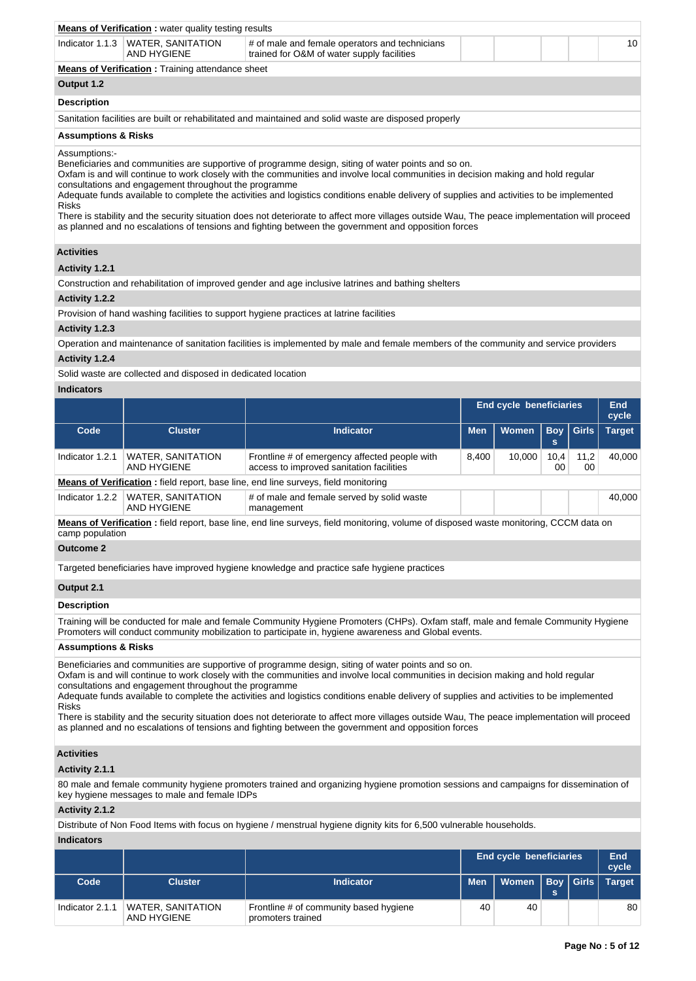|                                | <b>Means of Verification:</b> water quality testing results                                                                         |                                                                                                                                                                                                                                                                                                                                                                                                                                                                                                                                                                                                                                               |    |  |  |  |  |
|--------------------------------|-------------------------------------------------------------------------------------------------------------------------------------|-----------------------------------------------------------------------------------------------------------------------------------------------------------------------------------------------------------------------------------------------------------------------------------------------------------------------------------------------------------------------------------------------------------------------------------------------------------------------------------------------------------------------------------------------------------------------------------------------------------------------------------------------|----|--|--|--|--|
|                                | Indicator 1.1.3   WATER, SANITATION<br><b>AND HYGIENE</b>                                                                           | # of male and female operators and technicians<br>trained for O&M of water supply facilities                                                                                                                                                                                                                                                                                                                                                                                                                                                                                                                                                  | 10 |  |  |  |  |
|                                | <b>Means of Verification:</b> Training attendance sheet                                                                             |                                                                                                                                                                                                                                                                                                                                                                                                                                                                                                                                                                                                                                               |    |  |  |  |  |
| Output 1.2                     |                                                                                                                                     |                                                                                                                                                                                                                                                                                                                                                                                                                                                                                                                                                                                                                                               |    |  |  |  |  |
| <b>Description</b>             |                                                                                                                                     |                                                                                                                                                                                                                                                                                                                                                                                                                                                                                                                                                                                                                                               |    |  |  |  |  |
|                                |                                                                                                                                     | Sanitation facilities are built or rehabilitated and maintained and solid waste are disposed properly                                                                                                                                                                                                                                                                                                                                                                                                                                                                                                                                         |    |  |  |  |  |
| <b>Assumptions &amp; Risks</b> |                                                                                                                                     |                                                                                                                                                                                                                                                                                                                                                                                                                                                                                                                                                                                                                                               |    |  |  |  |  |
| <b>Risks</b>                   | consultations and engagement throughout the programme                                                                               | Beneficiaries and communities are supportive of programme design, siting of water points and so on.<br>Oxfam is and will continue to work closely with the communities and involve local communities in decision making and hold regular<br>Adequate funds available to complete the activities and logistics conditions enable delivery of supplies and activities to be implemented<br>There is stability and the security situation does not deteriorate to affect more villages outside Wau, The peace implementation will proceed<br>as planned and no escalations of tensions and fighting between the government and opposition forces |    |  |  |  |  |
| <b>Activities</b>              |                                                                                                                                     |                                                                                                                                                                                                                                                                                                                                                                                                                                                                                                                                                                                                                                               |    |  |  |  |  |
| Activity 1.2.1                 |                                                                                                                                     |                                                                                                                                                                                                                                                                                                                                                                                                                                                                                                                                                                                                                                               |    |  |  |  |  |
|                                |                                                                                                                                     | Construction and rehabilitation of improved gender and age inclusive latrines and bathing shelters                                                                                                                                                                                                                                                                                                                                                                                                                                                                                                                                            |    |  |  |  |  |
| Activity 1.2.2                 |                                                                                                                                     |                                                                                                                                                                                                                                                                                                                                                                                                                                                                                                                                                                                                                                               |    |  |  |  |  |
|                                | Provision of hand washing facilities to support hygiene practices at latrine facilities                                             |                                                                                                                                                                                                                                                                                                                                                                                                                                                                                                                                                                                                                                               |    |  |  |  |  |
| Activity 1.2.3                 |                                                                                                                                     |                                                                                                                                                                                                                                                                                                                                                                                                                                                                                                                                                                                                                                               |    |  |  |  |  |
|                                | Operation and maintenance of sanitation facilities is implemented by male and female members of the community and service providers |                                                                                                                                                                                                                                                                                                                                                                                                                                                                                                                                                                                                                                               |    |  |  |  |  |
| Activity 1.2.4                 |                                                                                                                                     |                                                                                                                                                                                                                                                                                                                                                                                                                                                                                                                                                                                                                                               |    |  |  |  |  |
|                                | Solid waste are collected and disposed in dedicated location                                                                        |                                                                                                                                                                                                                                                                                                                                                                                                                                                                                                                                                                                                                                               |    |  |  |  |  |

Solid waste are collected and disposed in dedicated location

## **Indicators**

|                                                                                           |                                         |                                                                                           |            | End cycle beneficiaries |            |                  | End<br>cycle  |
|-------------------------------------------------------------------------------------------|-----------------------------------------|-------------------------------------------------------------------------------------------|------------|-------------------------|------------|------------------|---------------|
| Code                                                                                      | <b>Cluster</b>                          | <b>Indicator</b>                                                                          | <b>Men</b> | Women                   | s          | <b>Boy Girls</b> | <b>Target</b> |
| Indicator 1.2.1                                                                           | <b>WATER, SANITATION</b><br>AND HYGIENE | Frontline # of emergency affected people with<br>access to improved sanitation facilities | 8.400      | 10.000                  | 10,4<br>00 | 11,2<br>00       | 40.000        |
| <b>Means of Verification:</b> field report, base line, end line surveys, field monitoring |                                         |                                                                                           |            |                         |            |                  |               |
| Indicator 1.2.2                                                                           | <b>WATER, SANITATION</b><br>AND HYGIENE | # of male and female served by solid waste<br>management                                  |            |                         |            |                  | 40.000        |

**Means of Verification :** field report, base line, end line surveys, field monitoring, volume of disposed waste monitoring, CCCM data on camp population

# **Outcome 2**

Targeted beneficiaries have improved hygiene knowledge and practice safe hygiene practices

## **Output 2.1**

# **Description**

Training will be conducted for male and female Community Hygiene Promoters (CHPs). Oxfam staff, male and female Community Hygiene Promoters will conduct community mobilization to participate in, hygiene awareness and Global events.

### **Assumptions & Risks**

Beneficiaries and communities are supportive of programme design, siting of water points and so on.

Oxfam is and will continue to work closely with the communities and involve local communities in decision making and hold regular consultations and engagement throughout the programme

Adequate funds available to complete the activities and logistics conditions enable delivery of supplies and activities to be implemented Risks

There is stability and the security situation does not deteriorate to affect more villages outside Wau, The peace implementation will proceed as planned and no escalations of tensions and fighting between the government and opposition forces

## **Activities**

# **Activity 2.1.1**

80 male and female community hygiene promoters trained and organizing hygiene promotion sessions and campaigns for dissemination of key hygiene messages to male and female IDPs

#### **Activity 2.1.2**

Distribute of Non Food Items with focus on hygiene / menstrual hygiene dignity kits for 6,500 vulnerable households.

# **Indicators**

|                 |                                         |                                                             |            | <b>End cycle beneficiaries</b> |    | End<br>cycle  |
|-----------------|-----------------------------------------|-------------------------------------------------------------|------------|--------------------------------|----|---------------|
| Code            | <b>Cluster</b>                          | <b>Indicator</b>                                            | <b>Men</b> | Women   Boy   Girls            | S. | <b>Target</b> |
| Indicator 2.1.1 | <b>WATER, SANITATION</b><br>AND HYGIENE | Frontline # of community based hygiene<br>promoters trained | 40         | 40                             |    | 80            |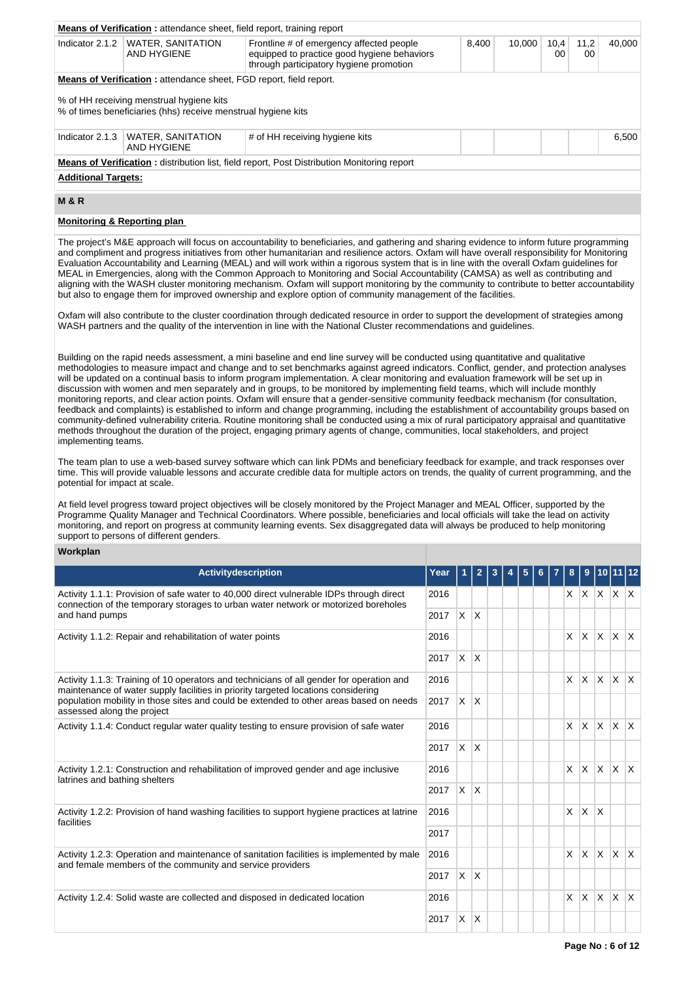|                                                                                                                                                                                                                                                                                                                                                                                                                                                                                                                                                                                                                                                                                                                                                                                                                                                                                                                                                                                                                                                                                                                                                                                                                                                                                                                                                                                                                                                                                                                                                                                                                                                                                                                                                                                                                                                                                                                                                                                                                                                                                                                                                                                                                                                                      | Means of Verification: attendance sheet, field report, training report                                    |                                                                                                                                                                                                                                                                                                                                                                                                                                   |      |            |       |   |        |   |            |             |              |                              |
|----------------------------------------------------------------------------------------------------------------------------------------------------------------------------------------------------------------------------------------------------------------------------------------------------------------------------------------------------------------------------------------------------------------------------------------------------------------------------------------------------------------------------------------------------------------------------------------------------------------------------------------------------------------------------------------------------------------------------------------------------------------------------------------------------------------------------------------------------------------------------------------------------------------------------------------------------------------------------------------------------------------------------------------------------------------------------------------------------------------------------------------------------------------------------------------------------------------------------------------------------------------------------------------------------------------------------------------------------------------------------------------------------------------------------------------------------------------------------------------------------------------------------------------------------------------------------------------------------------------------------------------------------------------------------------------------------------------------------------------------------------------------------------------------------------------------------------------------------------------------------------------------------------------------------------------------------------------------------------------------------------------------------------------------------------------------------------------------------------------------------------------------------------------------------------------------------------------------------------------------------------------------|-----------------------------------------------------------------------------------------------------------|-----------------------------------------------------------------------------------------------------------------------------------------------------------------------------------------------------------------------------------------------------------------------------------------------------------------------------------------------------------------------------------------------------------------------------------|------|------------|-------|---|--------|---|------------|-------------|--------------|------------------------------|
| Indicator 2.1.2                                                                                                                                                                                                                                                                                                                                                                                                                                                                                                                                                                                                                                                                                                                                                                                                                                                                                                                                                                                                                                                                                                                                                                                                                                                                                                                                                                                                                                                                                                                                                                                                                                                                                                                                                                                                                                                                                                                                                                                                                                                                                                                                                                                                                                                      | <b>WATER, SANITATION</b><br><b>AND HYGIENE</b>                                                            | Frontline # of emergency affected people<br>equipped to practice good hygiene behaviors<br>through participatory hygiene promotion                                                                                                                                                                                                                                                                                                |      |            | 8,400 |   | 10,000 |   | 10,4<br>00 | 11,2<br>00  |              | 40,000                       |
|                                                                                                                                                                                                                                                                                                                                                                                                                                                                                                                                                                                                                                                                                                                                                                                                                                                                                                                                                                                                                                                                                                                                                                                                                                                                                                                                                                                                                                                                                                                                                                                                                                                                                                                                                                                                                                                                                                                                                                                                                                                                                                                                                                                                                                                                      | <b>Means of Verification:</b> attendance sheet, FGD report, field report.                                 |                                                                                                                                                                                                                                                                                                                                                                                                                                   |      |            |       |   |        |   |            |             |              |                              |
|                                                                                                                                                                                                                                                                                                                                                                                                                                                                                                                                                                                                                                                                                                                                                                                                                                                                                                                                                                                                                                                                                                                                                                                                                                                                                                                                                                                                                                                                                                                                                                                                                                                                                                                                                                                                                                                                                                                                                                                                                                                                                                                                                                                                                                                                      | % of HH receiving menstrual hygiene kits<br>% of times beneficiaries (hhs) receive menstrual hygiene kits |                                                                                                                                                                                                                                                                                                                                                                                                                                   |      |            |       |   |        |   |            |             |              |                              |
| Indicator 2.1.3                                                                                                                                                                                                                                                                                                                                                                                                                                                                                                                                                                                                                                                                                                                                                                                                                                                                                                                                                                                                                                                                                                                                                                                                                                                                                                                                                                                                                                                                                                                                                                                                                                                                                                                                                                                                                                                                                                                                                                                                                                                                                                                                                                                                                                                      | <b>WATER, SANITATION</b><br>AND HYGIENE                                                                   | # of HH receiving hygiene kits                                                                                                                                                                                                                                                                                                                                                                                                    |      |            |       |   |        |   |            |             |              | 6,500                        |
|                                                                                                                                                                                                                                                                                                                                                                                                                                                                                                                                                                                                                                                                                                                                                                                                                                                                                                                                                                                                                                                                                                                                                                                                                                                                                                                                                                                                                                                                                                                                                                                                                                                                                                                                                                                                                                                                                                                                                                                                                                                                                                                                                                                                                                                                      |                                                                                                           | <b>Means of Verification:</b> distribution list, field report, Post Distribution Monitoring report                                                                                                                                                                                                                                                                                                                                |      |            |       |   |        |   |            |             |              |                              |
| <b>Additional Targets:</b>                                                                                                                                                                                                                                                                                                                                                                                                                                                                                                                                                                                                                                                                                                                                                                                                                                                                                                                                                                                                                                                                                                                                                                                                                                                                                                                                                                                                                                                                                                                                                                                                                                                                                                                                                                                                                                                                                                                                                                                                                                                                                                                                                                                                                                           |                                                                                                           |                                                                                                                                                                                                                                                                                                                                                                                                                                   |      |            |       |   |        |   |            |             |              |                              |
| <b>M &amp; R</b>                                                                                                                                                                                                                                                                                                                                                                                                                                                                                                                                                                                                                                                                                                                                                                                                                                                                                                                                                                                                                                                                                                                                                                                                                                                                                                                                                                                                                                                                                                                                                                                                                                                                                                                                                                                                                                                                                                                                                                                                                                                                                                                                                                                                                                                     |                                                                                                           |                                                                                                                                                                                                                                                                                                                                                                                                                                   |      |            |       |   |        |   |            |             |              |                              |
|                                                                                                                                                                                                                                                                                                                                                                                                                                                                                                                                                                                                                                                                                                                                                                                                                                                                                                                                                                                                                                                                                                                                                                                                                                                                                                                                                                                                                                                                                                                                                                                                                                                                                                                                                                                                                                                                                                                                                                                                                                                                                                                                                                                                                                                                      | <b>Monitoring &amp; Reporting plan</b>                                                                    |                                                                                                                                                                                                                                                                                                                                                                                                                                   |      |            |       |   |        |   |            |             |              |                              |
| The project's M&E approach will focus on accountability to beneficiaries, and gathering and sharing evidence to inform future programming<br>and compliment and progress initiatives from other humanitarian and resilience actors. Oxfam will have overall responsibility for Monitoring<br>Evaluation Accountability and Learning (MEAL) and will work within a rigorous system that is in line with the overall Oxfam guidelines for<br>MEAL in Emergencies, along with the Common Approach to Monitoring and Social Accountability (CAMSA) as well as contributing and<br>aligning with the WASH cluster monitoring mechanism. Oxfam will support monitoring by the community to contribute to better accountability<br>but also to engage them for improved ownership and explore option of community management of the facilities.<br>Oxfam will also contribute to the cluster coordination through dedicated resource in order to support the development of strategies among<br>WASH partners and the quality of the intervention in line with the National Cluster recommendations and guidelines.<br>Building on the rapid needs assessment, a mini baseline and end line survey will be conducted using quantitative and qualitative<br>methodologies to measure impact and change and to set benchmarks against agreed indicators. Conflict, gender, and protection analyses<br>will be updated on a continual basis to inform program implementation. A clear monitoring and evaluation framework will be set up in<br>discussion with women and men separately and in groups, to be monitored by implementing field teams, which will include monthly<br>monitoring reports, and clear action points. Oxfam will ensure that a gender-sensitive community feedback mechanism (for consultation,<br>feedback and complaints) is established to inform and change programming, including the establishment of accountability groups based on<br>community-defined vulnerability criteria. Routine monitoring shall be conducted using a mix of rural participatory appraisal and quantitative<br>methods throughout the duration of the project, engaging primary agents of change, communities, local stakeholders, and project<br>implementing teams. |                                                                                                           |                                                                                                                                                                                                                                                                                                                                                                                                                                   |      |            |       |   |        |   |            |             |              |                              |
| potential for impact at scale.                                                                                                                                                                                                                                                                                                                                                                                                                                                                                                                                                                                                                                                                                                                                                                                                                                                                                                                                                                                                                                                                                                                                                                                                                                                                                                                                                                                                                                                                                                                                                                                                                                                                                                                                                                                                                                                                                                                                                                                                                                                                                                                                                                                                                                       |                                                                                                           | time. This will provide valuable lessons and accurate credible data for multiple actors on trends, the quality of current programming, and the<br>At field level progress toward project objectives will be closely monitored by the Project Manager and MEAL Officer, supported by the<br>Programme Quality Manager and Technical Coordinators. Where possible, beneficiaries and local officials will take the lead on activity |      |            |       |   |        |   |            |             |              |                              |
|                                                                                                                                                                                                                                                                                                                                                                                                                                                                                                                                                                                                                                                                                                                                                                                                                                                                                                                                                                                                                                                                                                                                                                                                                                                                                                                                                                                                                                                                                                                                                                                                                                                                                                                                                                                                                                                                                                                                                                                                                                                                                                                                                                                                                                                                      | support to persons of different genders.                                                                  | monitoring, and report on progress at community learning events. Sex disaggregated data will always be produced to help monitoring                                                                                                                                                                                                                                                                                                |      |            |       |   |        |   |            |             |              |                              |
| Workplan                                                                                                                                                                                                                                                                                                                                                                                                                                                                                                                                                                                                                                                                                                                                                                                                                                                                                                                                                                                                                                                                                                                                                                                                                                                                                                                                                                                                                                                                                                                                                                                                                                                                                                                                                                                                                                                                                                                                                                                                                                                                                                                                                                                                                                                             |                                                                                                           |                                                                                                                                                                                                                                                                                                                                                                                                                                   |      |            |       |   |        |   |            |             |              |                              |
|                                                                                                                                                                                                                                                                                                                                                                                                                                                                                                                                                                                                                                                                                                                                                                                                                                                                                                                                                                                                                                                                                                                                                                                                                                                                                                                                                                                                                                                                                                                                                                                                                                                                                                                                                                                                                                                                                                                                                                                                                                                                                                                                                                                                                                                                      |                                                                                                           | Activitydescription                                                                                                                                                                                                                                                                                                                                                                                                               | Year |            | 2     | 3 | 5      | 6 |            | 8<br>9      | 10111        | 12                           |
|                                                                                                                                                                                                                                                                                                                                                                                                                                                                                                                                                                                                                                                                                                                                                                                                                                                                                                                                                                                                                                                                                                                                                                                                                                                                                                                                                                                                                                                                                                                                                                                                                                                                                                                                                                                                                                                                                                                                                                                                                                                                                                                                                                                                                                                                      |                                                                                                           | Activity 1.1.1: Provision of safe water to 40,000 direct vulnerable IDPs through direct                                                                                                                                                                                                                                                                                                                                           | 2016 |            |       |   |        |   |            | x x x x x x |              |                              |
| and hand pumps                                                                                                                                                                                                                                                                                                                                                                                                                                                                                                                                                                                                                                                                                                                                                                                                                                                                                                                                                                                                                                                                                                                                                                                                                                                                                                                                                                                                                                                                                                                                                                                                                                                                                                                                                                                                                                                                                                                                                                                                                                                                                                                                                                                                                                                       |                                                                                                           | connection of the temporary storages to urban water network or motorized boreholes                                                                                                                                                                                                                                                                                                                                                | 2017 | $X \mid X$ |       |   |        |   |            |             |              |                              |
|                                                                                                                                                                                                                                                                                                                                                                                                                                                                                                                                                                                                                                                                                                                                                                                                                                                                                                                                                                                                                                                                                                                                                                                                                                                                                                                                                                                                                                                                                                                                                                                                                                                                                                                                                                                                                                                                                                                                                                                                                                                                                                                                                                                                                                                                      | Activity 1.1.2: Repair and rehabilitation of water points                                                 |                                                                                                                                                                                                                                                                                                                                                                                                                                   | 2016 |            |       |   |        |   |            | $X \mid X$  | $\mathsf{X}$ | $\mathsf{X}$<br>$\mathsf{X}$ |
|                                                                                                                                                                                                                                                                                                                                                                                                                                                                                                                                                                                                                                                                                                                                                                                                                                                                                                                                                                                                                                                                                                                                                                                                                                                                                                                                                                                                                                                                                                                                                                                                                                                                                                                                                                                                                                                                                                                                                                                                                                                                                                                                                                                                                                                                      |                                                                                                           |                                                                                                                                                                                                                                                                                                                                                                                                                                   | 2017 | $X$ $X$    |       |   |        |   |            |             |              |                              |
|                                                                                                                                                                                                                                                                                                                                                                                                                                                                                                                                                                                                                                                                                                                                                                                                                                                                                                                                                                                                                                                                                                                                                                                                                                                                                                                                                                                                                                                                                                                                                                                                                                                                                                                                                                                                                                                                                                                                                                                                                                                                                                                                                                                                                                                                      |                                                                                                           | Activity 1.1.3: Training of 10 operators and technicians of all gender for operation and<br>maintenance of water supply facilities in priority targeted locations considering                                                                                                                                                                                                                                                     | 2016 |            |       |   |        |   |            | XX          | X            | X <br> X                     |

| maintenance of water supply facilities in priority targeted locations considering                                                                      |      |              |   |  |   |          |              |             |  |
|--------------------------------------------------------------------------------------------------------------------------------------------------------|------|--------------|---|--|---|----------|--------------|-------------|--|
| population mobility in those sites and could be extended to other areas based on needs<br>assessed along the project                                   | 2017 | $\mathsf{X}$ | X |  |   |          |              |             |  |
| Activity 1.1.4: Conduct regular water quality testing to ensure provision of safe water                                                                | 2016 |              |   |  | X | ΙX.      |              | $X$ $X$ $X$ |  |
|                                                                                                                                                        | 2017 | $\times$     | X |  |   |          |              |             |  |
| Activity 1.2.1: Construction and rehabilitation of improved gender and age inclusive<br>latrines and bathing shelters                                  | 2016 |              |   |  | X | <b>X</b> | ΙX.          | $X$ $X$     |  |
|                                                                                                                                                        | 2017 | $\times$     | X |  |   |          |              |             |  |
| Activity 1.2.2: Provision of hand washing facilities to support hygiene practices at latrine<br>facilities                                             | 2016 |              |   |  | X | X        | ΙX           |             |  |
|                                                                                                                                                        | 2017 |              |   |  |   |          |              |             |  |
| Activity 1.2.3: Operation and maintenance of sanitation facilities is implemented by male<br>and female members of the community and service providers | 2016 |              |   |  | X | X.       | ΙX.          | IX X        |  |
|                                                                                                                                                        | 2017 | $\times$     | X |  |   |          |              |             |  |
| Activity 1.2.4: Solid waste are collected and disposed in dedicated location                                                                           | 2016 |              |   |  | X | X        | <sup>X</sup> | $X$ $X$     |  |
|                                                                                                                                                        | 2017 | X            | X |  |   |          |              |             |  |
|                                                                                                                                                        |      |              |   |  |   |          |              |             |  |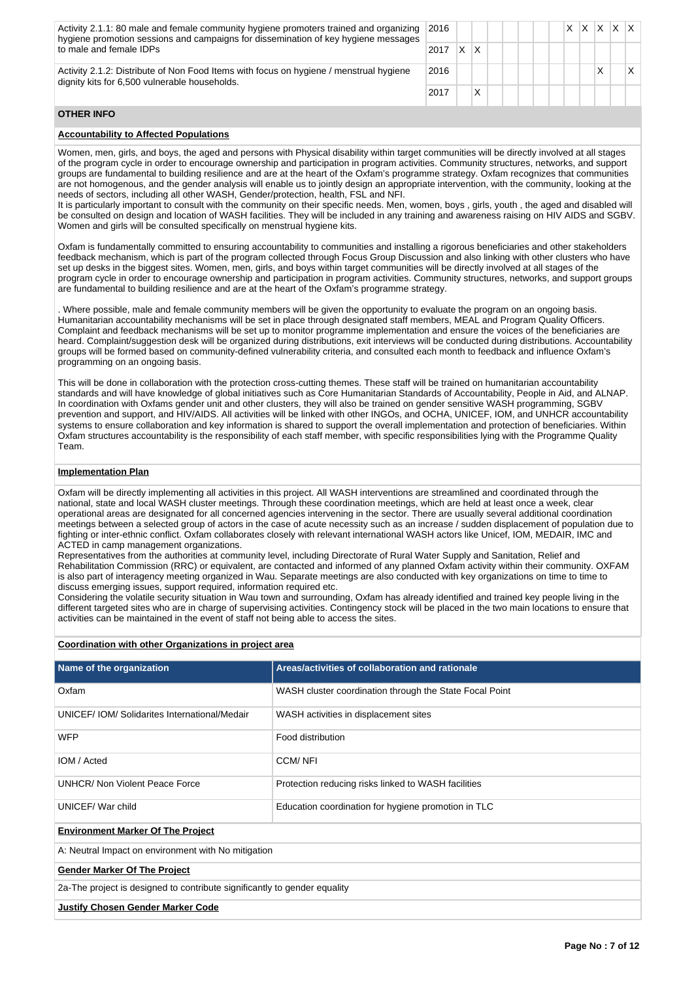Activity 2.1.1: 80 male and female community hygiene promoters trained and organizing hygiene promotion sessions and campaigns for dissemination of key hygiene messages to male and female IDPs 2016 X X X X X  $2017$  X X Activity 2.1.2: Distribute of Non Food Items with focus on hygiene / menstrual hygiene dignity kits for 6,500 vulnerable households. 2016 X X

 $2017$  X

# **OTHER INFO**

## **Accountability to Affected Populations**

Women, men, girls, and boys, the aged and persons with Physical disability within target communities will be directly involved at all stages of the program cycle in order to encourage ownership and participation in program activities. Community structures, networks, and support groups are fundamental to building resilience and are at the heart of the Oxfam's programme strategy. Oxfam recognizes that communities are not homogenous, and the gender analysis will enable us to jointly design an appropriate intervention, with the community, looking at the needs of sectors, including all other WASH, Gender/protection, health, FSL and NFI.

It is particularly important to consult with the community on their specific needs. Men, women, boys , girls, youth , the aged and disabled will be consulted on design and location of WASH facilities. They will be included in any training and awareness raising on HIV AIDS and SGBV. Women and girls will be consulted specifically on menstrual hygiene kits.

Oxfam is fundamentally committed to ensuring accountability to communities and installing a rigorous beneficiaries and other stakeholders feedback mechanism, which is part of the program collected through Focus Group Discussion and also linking with other clusters who have set up desks in the biggest sites. Women, men, girls, and boys within target communities will be directly involved at all stages of the program cycle in order to encourage ownership and participation in program activities. Community structures, networks, and support groups are fundamental to building resilience and are at the heart of the Oxfam's programme strategy.

. Where possible, male and female community members will be given the opportunity to evaluate the program on an ongoing basis. Humanitarian accountability mechanisms will be set in place through designated staff members, MEAL and Program Quality Officers. Complaint and feedback mechanisms will be set up to monitor programme implementation and ensure the voices of the beneficiaries are heard. Complaint/suggestion desk will be organized during distributions, exit interviews will be conducted during distributions. Accountability groups will be formed based on community-defined vulnerability criteria, and consulted each month to feedback and influence Oxfam's programming on an ongoing basis.

This will be done in collaboration with the protection cross-cutting themes. These staff will be trained on humanitarian accountability standards and will have knowledge of global initiatives such as Core Humanitarian Standards of Accountability, People in Aid, and ALNAP. In coordination with Oxfams gender unit and other clusters, they will also be trained on gender sensitive WASH programming, SGBV prevention and support, and HIV/AIDS. All activities will be linked with other INGOs, and OCHA, UNICEF, IOM, and UNHCR accountability systems to ensure collaboration and key information is shared to support the overall implementation and protection of beneficiaries. Within Oxfam structures accountability is the responsibility of each staff member, with specific responsibilities lying with the Programme Quality Team.

# **Implementation Plan**

Oxfam will be directly implementing all activities in this project. All WASH interventions are streamlined and coordinated through the national, state and local WASH cluster meetings. Through these coordination meetings, which are held at least once a week, clear operational areas are designated for all concerned agencies intervening in the sector. There are usually several additional coordination meetings between a selected group of actors in the case of acute necessity such as an increase / sudden displacement of population due to fighting or inter-ethnic conflict. Oxfam collaborates closely with relevant international WASH actors like Unicef, IOM, MEDAIR, IMC and ACTED in camp management organizations.

Representatives from the authorities at community level, including Directorate of Rural Water Supply and Sanitation, Relief and Rehabilitation Commission (RRC) or equivalent, are contacted and informed of any planned Oxfam activity within their community. OXFAM is also part of interagency meeting organized in Wau. Separate meetings are also conducted with key organizations on time to time to discuss emerging issues, support required, information required etc.

Considering the volatile security situation in Wau town and surrounding, Oxfam has already identified and trained key people living in the different targeted sites who are in charge of supervising activities. Contingency stock will be placed in the two main locations to ensure that activities can be maintained in the event of staff not being able to access the sites.

#### **Coordination with other Organizations in project area**

| Name of the organization                                                  | Areas/activities of collaboration and rationale         |  |  |  |  |  |
|---------------------------------------------------------------------------|---------------------------------------------------------|--|--|--|--|--|
| Oxfam                                                                     | WASH cluster coordination through the State Focal Point |  |  |  |  |  |
| UNICEF/IOM/Solidarites International/Medair                               | WASH activities in displacement sites                   |  |  |  |  |  |
| <b>WFP</b>                                                                | Food distribution                                       |  |  |  |  |  |
| IOM / Acted                                                               | <b>CCM/NFI</b>                                          |  |  |  |  |  |
| UNHCR/ Non Violent Peace Force                                            | Protection reducing risks linked to WASH facilities     |  |  |  |  |  |
| UNICEF/War child                                                          | Education coordination for hygiene promotion in TLC     |  |  |  |  |  |
| <b>Environment Marker Of The Project</b>                                  |                                                         |  |  |  |  |  |
| A: Neutral Impact on environment with No mitigation                       |                                                         |  |  |  |  |  |
| <b>Gender Marker Of The Project</b>                                       |                                                         |  |  |  |  |  |
| 2a-The project is designed to contribute significantly to gender equality |                                                         |  |  |  |  |  |
| <b>Justify Chosen Gender Marker Code</b>                                  |                                                         |  |  |  |  |  |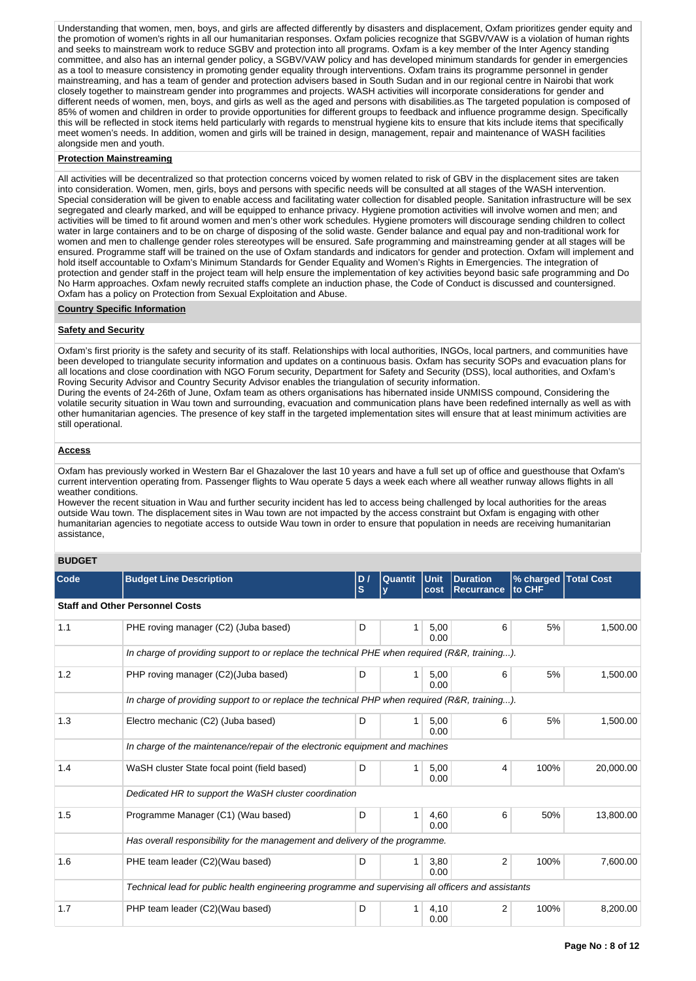Understanding that women, men, boys, and girls are affected differently by disasters and displacement, Oxfam prioritizes gender equity and the promotion of women's rights in all our humanitarian responses. Oxfam policies recognize that SGBV/VAW is a violation of human rights and seeks to mainstream work to reduce SGBV and protection into all programs. Oxfam is a key member of the Inter Agency standing committee, and also has an internal gender policy, a SGBV/VAW policy and has developed minimum standards for gender in emergencies as a tool to measure consistency in promoting gender equality through interventions. Oxfam trains its programme personnel in gender mainstreaming, and has a team of gender and protection advisers based in South Sudan and in our regional centre in Nairobi that work closely together to mainstream gender into programmes and projects. WASH activities will incorporate considerations for gender and different needs of women, men, boys, and girls as well as the aged and persons with disabilities, as The targeted population is composed of 85% of women and children in order to provide opportunities for different groups to feedback and influence programme design. Specifically this will be reflected in stock items held particularly with regards to menstrual hygiene kits to ensure that kits include items that specifically meet women's needs. In addition, women and girls will be trained in design, management, repair and maintenance of WASH facilities alongside men and youth.

#### **Protection Mainstreaming**

All activities will be decentralized so that protection concerns voiced by women related to risk of GBV in the displacement sites are taken into consideration. Women, men, girls, boys and persons with specific needs will be consulted at all stages of the WASH intervention. Special consideration will be given to enable access and facilitating water collection for disabled people. Sanitation infrastructure will be sex segregated and clearly marked, and will be equipped to enhance privacy. Hygiene promotion activities will involve women and men; and activities will be timed to fit around women and men's other work schedules. Hygiene promoters will discourage sending children to collect water in large containers and to be on charge of disposing of the solid waste. Gender balance and equal pay and non-traditional work for women and men to challenge gender roles stereotypes will be ensured. Safe programming and mainstreaming gender at all stages will be ensured. Programme staff will be trained on the use of Oxfam standards and indicators for gender and protection. Oxfam will implement and hold itself accountable to Oxfam's Minimum Standards for Gender Equality and Women's Rights in Emergencies. The integration of protection and gender staff in the project team will help ensure the implementation of key activities beyond basic safe programming and Do No Harm approaches. Oxfam newly recruited staffs complete an induction phase, the Code of Conduct is discussed and countersigned. Oxfam has a policy on Protection from Sexual Exploitation and Abuse.

#### **Country Specific Information**

#### **Safety and Security**

Oxfam's first priority is the safety and security of its staff. Relationships with local authorities, INGOs, local partners, and communities have been developed to triangulate security information and updates on a continuous basis. Oxfam has security SOPs and evacuation plans for all locations and close coordination with NGO Forum security, Department for Safety and Security (DSS), local authorities, and Oxfam's Roving Security Advisor and Country Security Advisor enables the triangulation of security information.

During the events of 24-26th of June, Oxfam team as others organisations has hibernated inside UNMISS compound, Considering the volatile security situation in Wau town and surrounding, evacuation and communication plans have been redefined internally as well as with other humanitarian agencies. The presence of key staff in the targeted implementation sites will ensure that at least minimum activities are still operational.

#### **Access**

Oxfam has previously worked in Western Bar el Ghazalover the last 10 years and have a full set up of office and guesthouse that Oxfam's current intervention operating from. Passenger flights to Wau operate 5 days a week each where all weather runway allows flights in all weather conditions.

However the recent situation in Wau and further security incident has led to access being challenged by local authorities for the areas outside Wau town. The displacement sites in Wau town are not impacted by the access constraint but Oxfam is engaging with other humanitarian agencies to negotiate access to outside Wau town in order to ensure that population in needs are receiving humanitarian assistance,

# **BUDGET**

| Code | <b>Budget Line Description</b>                                               | D I<br>ls.                                                                                         | Quantit      | l Unit<br>cost | <b>Duration</b><br><b>Recurrance</b> | % charged   Total Cost<br><b>to CHF</b> |           |  |  |  |  |
|------|------------------------------------------------------------------------------|----------------------------------------------------------------------------------------------------|--------------|----------------|--------------------------------------|-----------------------------------------|-----------|--|--|--|--|
|      | <b>Staff and Other Personnel Costs</b>                                       |                                                                                                    |              |                |                                      |                                         |           |  |  |  |  |
| 1.1  | PHE roving manager (C2) (Juba based)                                         | D                                                                                                  |              | 5,00<br>0.00   | 6                                    | 5%                                      | 1,500.00  |  |  |  |  |
|      |                                                                              | In charge of providing support to or replace the technical PHE when required (R&R, training).      |              |                |                                      |                                         |           |  |  |  |  |
| 1.2  | PHP roving manager (C2)(Juba based)                                          | D                                                                                                  | $\mathbf{1}$ | 5,00<br>0.00   | 6                                    | 5%                                      | 1,500.00  |  |  |  |  |
|      |                                                                              | In charge of providing support to or replace the technical PHP when required (R&R, training).      |              |                |                                      |                                         |           |  |  |  |  |
| 1.3  | Electro mechanic (C2) (Juba based)                                           | D                                                                                                  |              | 5,00<br>0.00   | 6                                    | 5%                                      | 1,500.00  |  |  |  |  |
|      | In charge of the maintenance/repair of the electronic equipment and machines |                                                                                                    |              |                |                                      |                                         |           |  |  |  |  |
| 1.4  | WaSH cluster State focal point (field based)                                 | D                                                                                                  |              | 5,00<br>0.00   | 4                                    | 100%                                    | 20,000.00 |  |  |  |  |
|      | Dedicated HR to support the WaSH cluster coordination                        |                                                                                                    |              |                |                                      |                                         |           |  |  |  |  |
| 1.5  | Programme Manager (C1) (Wau based)                                           | D                                                                                                  | $\mathbf{1}$ | 4,60<br>0.00   | 6                                    | 50%                                     | 13,800.00 |  |  |  |  |
|      | Has overall responsibility for the management and delivery of the programme. |                                                                                                    |              |                |                                      |                                         |           |  |  |  |  |
| 1.6  | PHE team leader (C2)(Wau based)                                              | D                                                                                                  | 1            | 3,80<br>0.00   | $\overline{2}$                       | 100%                                    | 7,600.00  |  |  |  |  |
|      |                                                                              | Technical lead for public health engineering programme and supervising all officers and assistants |              |                |                                      |                                         |           |  |  |  |  |
| 1.7  | PHP team leader (C2)(Wau based)                                              | D                                                                                                  | 1.           | 4,10<br>0.00   | 2                                    | 100%                                    | 8,200.00  |  |  |  |  |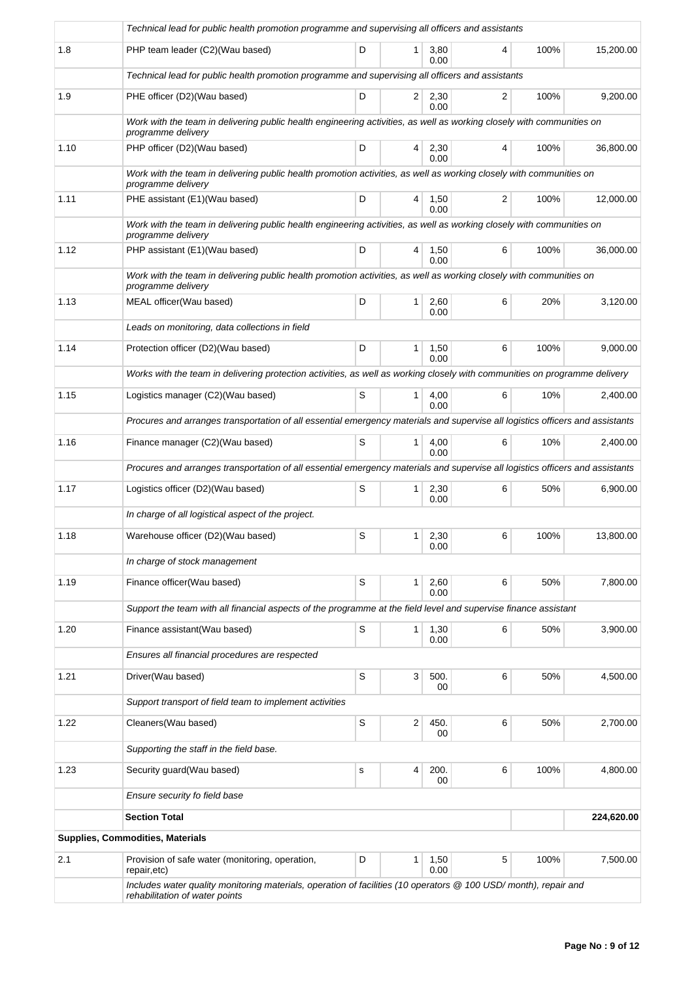|      | Technical lead for public health promotion programme and supervising all officers and assistants                                                  |   |                |              |   |      |            |  |  |  |
|------|---------------------------------------------------------------------------------------------------------------------------------------------------|---|----------------|--------------|---|------|------------|--|--|--|
| 1.8  | PHP team leader (C2)(Wau based)                                                                                                                   | D | 1              | 3,80<br>0.00 | 4 | 100% | 15,200.00  |  |  |  |
|      | Technical lead for public health promotion programme and supervising all officers and assistants                                                  |   |                |              |   |      |            |  |  |  |
| 1.9  | PHE officer (D2)(Wau based)                                                                                                                       | D | $\overline{2}$ | 2,30<br>0.00 | 2 | 100% | 9,200.00   |  |  |  |
|      | Work with the team in delivering public health engineering activities, as well as working closely with communities on<br>programme delivery       |   |                |              |   |      |            |  |  |  |
| 1.10 | PHP officer (D2)(Wau based)                                                                                                                       | D | 4              | 2,30<br>0.00 | 4 | 100% | 36,800.00  |  |  |  |
|      | Work with the team in delivering public health promotion activities, as well as working closely with communities on<br>programme delivery         |   |                |              |   |      |            |  |  |  |
| 1.11 | PHE assistant (E1)(Wau based)                                                                                                                     | D | 4              | 1,50<br>0.00 | 2 | 100% | 12,000.00  |  |  |  |
|      | Work with the team in delivering public health engineering activities, as well as working closely with communities on<br>programme delivery       |   |                |              |   |      |            |  |  |  |
| 1.12 | PHP assistant (E1)(Wau based)                                                                                                                     | D | 4              | 1,50<br>0.00 | 6 | 100% | 36,000.00  |  |  |  |
|      | Work with the team in delivering public health promotion activities, as well as working closely with communities on<br>programme delivery         |   |                |              |   |      |            |  |  |  |
| 1.13 | MEAL officer(Wau based)                                                                                                                           | D | 1              | 2,60<br>0.00 | 6 | 20%  | 3,120.00   |  |  |  |
|      | Leads on monitoring, data collections in field                                                                                                    |   |                |              |   |      |            |  |  |  |
| 1.14 | Protection officer (D2)(Wau based)                                                                                                                | D | 1              | 1,50<br>0.00 | 6 | 100% | 9,000.00   |  |  |  |
|      | Works with the team in delivering protection activities, as well as working closely with communities on programme delivery                        |   |                |              |   |      |            |  |  |  |
| 1.15 | Logistics manager (C2)(Wau based)                                                                                                                 | S | 1              | 4,00<br>0.00 | 6 | 10%  | 2,400.00   |  |  |  |
|      | Procures and arranges transportation of all essential emergency materials and supervise all logistics officers and assistants                     |   |                |              |   |      |            |  |  |  |
| 1.16 | Finance manager (C2)(Wau based)                                                                                                                   | S | 1.             | 4,00<br>0.00 | 6 | 10%  | 2,400.00   |  |  |  |
|      | Procures and arranges transportation of all essential emergency materials and supervise all logistics officers and assistants                     |   |                |              |   |      |            |  |  |  |
| 1.17 | Logistics officer (D2)(Wau based)                                                                                                                 | S | $\mathbf{1}$   | 2,30<br>0.00 | 6 | 50%  | 6.900.00   |  |  |  |
|      | In charge of all logistical aspect of the project.                                                                                                |   |                |              |   |      |            |  |  |  |
| 1.18 | Warehouse officer (D2)(Wau based)                                                                                                                 | S | 1              | 2,30<br>0.00 | 6 | 100% | 13,800.00  |  |  |  |
|      | In charge of stock management                                                                                                                     |   |                |              |   |      |            |  |  |  |
| 1.19 | Finance officer(Wau based)                                                                                                                        | S | 1              | 2,60<br>0.00 | 6 | 50%  | 7,800.00   |  |  |  |
|      | Support the team with all financial aspects of the programme at the field level and supervise finance assistant                                   |   |                |              |   |      |            |  |  |  |
| 1.20 | Finance assistant(Wau based)                                                                                                                      | S | 1              | 1,30<br>0.00 | 6 | 50%  | 3,900.00   |  |  |  |
|      | Ensures all financial procedures are respected                                                                                                    |   |                |              |   |      |            |  |  |  |
| 1.21 | Driver(Wau based)                                                                                                                                 | S | 3              | 500.<br>00   | 6 | 50%  | 4,500.00   |  |  |  |
|      | Support transport of field team to implement activities                                                                                           |   |                |              |   |      |            |  |  |  |
| 1.22 | Cleaners(Wau based)                                                                                                                               | S | 2              | 450.<br>00   | 6 | 50%  | 2,700.00   |  |  |  |
|      | Supporting the staff in the field base.                                                                                                           |   |                |              |   |      |            |  |  |  |
| 1.23 | Security guard (Wau based)                                                                                                                        | s | 4              | 200.<br>00   | 6 | 100% | 4,800.00   |  |  |  |
|      | Ensure security fo field base                                                                                                                     |   |                |              |   |      |            |  |  |  |
|      | <b>Section Total</b>                                                                                                                              |   |                |              |   |      | 224,620.00 |  |  |  |
|      | Supplies, Commodities, Materials                                                                                                                  |   |                |              |   |      |            |  |  |  |
| 2.1  | Provision of safe water (monitoring, operation,<br>repair, etc)                                                                                   | D | 1              | 1,50<br>0.00 | 5 | 100% | 7,500.00   |  |  |  |
|      | Includes water quality monitoring materials, operation of facilities (10 operators @ 100 USD/month), repair and<br>rehabilitation of water points |   |                |              |   |      |            |  |  |  |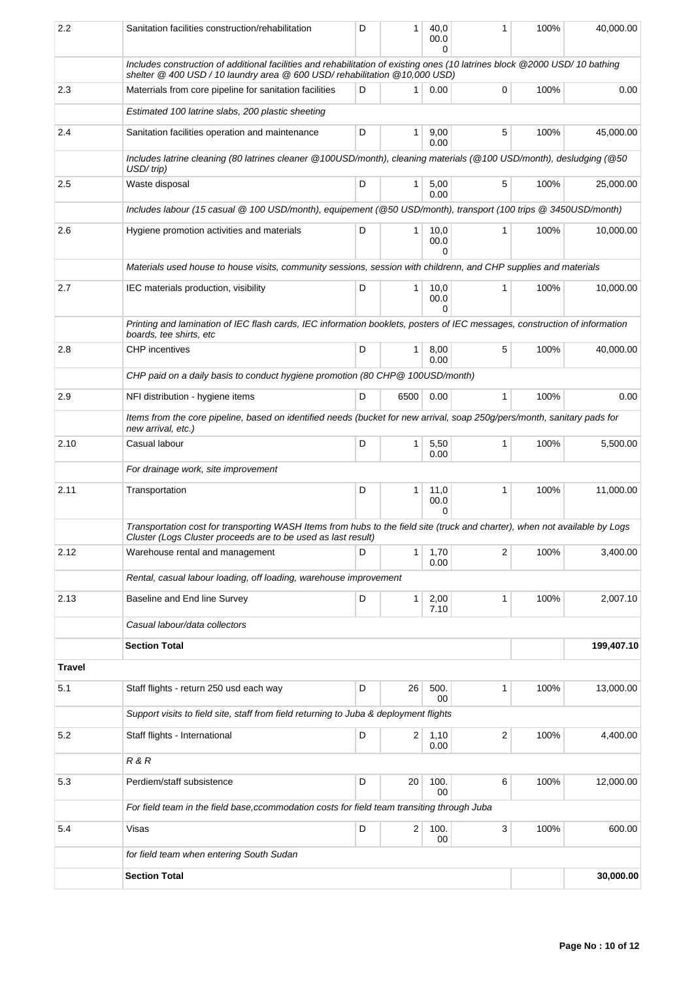| 2.2           | Sanitation facilities construction/rehabilitation                                                                                                                                                         | D                                                                                                                          | 1              | 40,0<br>00.0<br>O | 1            | 100% | 40,000.00  |  |  |  |  |  |
|---------------|-----------------------------------------------------------------------------------------------------------------------------------------------------------------------------------------------------------|----------------------------------------------------------------------------------------------------------------------------|----------------|-------------------|--------------|------|------------|--|--|--|--|--|
|               | Includes construction of additional facilities and rehabilitation of existing ones (10 latrines block @2000 USD/10 bathing<br>shelter @ 400 USD / 10 laundry area @ 600 USD/ rehabilitation @ 10,000 USD) |                                                                                                                            |                |                   |              |      |            |  |  |  |  |  |
| 2.3           | Materrials from core pipeline for sanitation facilities                                                                                                                                                   | D                                                                                                                          | 1              | 0.00              | 0            | 100% | 0.00       |  |  |  |  |  |
|               | Estimated 100 latrine slabs, 200 plastic sheeting                                                                                                                                                         |                                                                                                                            |                |                   |              |      |            |  |  |  |  |  |
| 2.4           | Sanitation facilities operation and maintenance                                                                                                                                                           | D                                                                                                                          | 1              | 9,00<br>0.00      | 5            | 100% | 45,000.00  |  |  |  |  |  |
|               | Includes latrine cleaning (80 latrines cleaner @100USD/month), cleaning materials (@100 USD/month), desludging (@50<br>USD/trip)                                                                          |                                                                                                                            |                |                   |              |      |            |  |  |  |  |  |
| 2.5           | Waste disposal                                                                                                                                                                                            | D                                                                                                                          | 1              | 5,00<br>0.00      | 5            | 100% | 25.000.00  |  |  |  |  |  |
|               | Includes labour (15 casual @ 100 USD/month), equipement (@50 USD/month), transport (100 trips @ 3450USD/month)                                                                                            |                                                                                                                            |                |                   |              |      |            |  |  |  |  |  |
| 2.6           | Hygiene promotion activities and materials                                                                                                                                                                | D                                                                                                                          | 1              | 10,0<br>00.0<br>0 | 1            | 100% | 10,000.00  |  |  |  |  |  |
|               | Materials used house to house visits, community sessions, session with childrenn, and CHP supplies and materials                                                                                          |                                                                                                                            |                |                   |              |      |            |  |  |  |  |  |
| 2.7           | IEC materials production, visibility                                                                                                                                                                      | D                                                                                                                          | 1.             | 10,0<br>00.0<br>U | 1            | 100% | 10,000.00  |  |  |  |  |  |
|               | boards, tee shirts, etc                                                                                                                                                                                   | Printing and lamination of IEC flash cards, IEC information booklets, posters of IEC messages, construction of information |                |                   |              |      |            |  |  |  |  |  |
| 2.8           | <b>CHP</b> incentives                                                                                                                                                                                     | D                                                                                                                          | 1              | 8,00<br>0.00      | 5            | 100% | 40,000.00  |  |  |  |  |  |
|               | CHP paid on a daily basis to conduct hygiene promotion (80 CHP @ 100USD/month)                                                                                                                            |                                                                                                                            |                |                   |              |      |            |  |  |  |  |  |
| 2.9           | NFI distribution - hygiene items                                                                                                                                                                          | D                                                                                                                          | 6500           | 0.00              | $\mathbf{1}$ | 100% | 0.00       |  |  |  |  |  |
|               | Items from the core pipeline, based on identified needs (bucket for new arrival, soap 250g/pers/month, sanitary pads for<br>new arrival, etc.)                                                            |                                                                                                                            |                |                   |              |      |            |  |  |  |  |  |
| 2.10          | Casual labour                                                                                                                                                                                             | D                                                                                                                          | 1              | 5,50<br>0.00      | 1            | 100% | 5,500.00   |  |  |  |  |  |
|               | For drainage work, site improvement                                                                                                                                                                       |                                                                                                                            |                |                   |              |      |            |  |  |  |  |  |
| 2.11          | Transportation                                                                                                                                                                                            | D                                                                                                                          | 1              | 11,0<br>00.0<br>0 | 1            | 100% | 11,000.00  |  |  |  |  |  |
|               | Transportation cost for transporting WASH Items from hubs to the field site (truck and charter), when not available by Logs<br>Cluster (Logs Cluster proceeds are to be used as last result)              |                                                                                                                            |                |                   |              |      |            |  |  |  |  |  |
| 2.12          | Warehouse rental and management                                                                                                                                                                           | D                                                                                                                          | 1              | 1,70<br>0.00      | 2            | 100% | 3,400.00   |  |  |  |  |  |
|               | Rental, casual labour loading, off loading, warehouse improvement                                                                                                                                         |                                                                                                                            |                |                   |              |      |            |  |  |  |  |  |
| 2.13          | Baseline and End line Survey                                                                                                                                                                              | D                                                                                                                          | $\mathbf{1}$   | 2,00<br>7.10      | 1            | 100% | 2,007.10   |  |  |  |  |  |
|               | Casual labour/data collectors                                                                                                                                                                             |                                                                                                                            |                |                   |              |      |            |  |  |  |  |  |
|               | <b>Section Total</b>                                                                                                                                                                                      |                                                                                                                            |                |                   |              |      | 199,407.10 |  |  |  |  |  |
| <b>Travel</b> |                                                                                                                                                                                                           |                                                                                                                            |                |                   |              |      |            |  |  |  |  |  |
| 5.1           | Staff flights - return 250 usd each way                                                                                                                                                                   | D                                                                                                                          | 26             | 500.<br>00        | 1            | 100% | 13,000.00  |  |  |  |  |  |
|               | Support visits to field site, staff from field returning to Juba & deployment flights                                                                                                                     |                                                                                                                            |                |                   |              |      |            |  |  |  |  |  |
| 5.2           | Staff flights - International                                                                                                                                                                             | D                                                                                                                          | $\overline{2}$ | 1,10<br>0.00      | 2            | 100% | 4,400.00   |  |  |  |  |  |
|               | R & R                                                                                                                                                                                                     |                                                                                                                            |                |                   |              |      |            |  |  |  |  |  |
| 5.3           | Perdiem/staff subsistence                                                                                                                                                                                 | D                                                                                                                          | 20             | 100.<br>00        | 6            | 100% | 12,000.00  |  |  |  |  |  |
|               |                                                                                                                                                                                                           | For field team in the field base, ccommodation costs for field team transiting through Juba                                |                |                   |              |      |            |  |  |  |  |  |
| 5.4           | Visas                                                                                                                                                                                                     | D                                                                                                                          | 2              | 100.              | 3            | 100% | 600.00     |  |  |  |  |  |
|               |                                                                                                                                                                                                           |                                                                                                                            |                | 00                |              |      |            |  |  |  |  |  |
|               | for field team when entering South Sudan                                                                                                                                                                  |                                                                                                                            |                |                   |              |      | 30,000.00  |  |  |  |  |  |
|               | <b>Section Total</b>                                                                                                                                                                                      |                                                                                                                            |                |                   |              |      |            |  |  |  |  |  |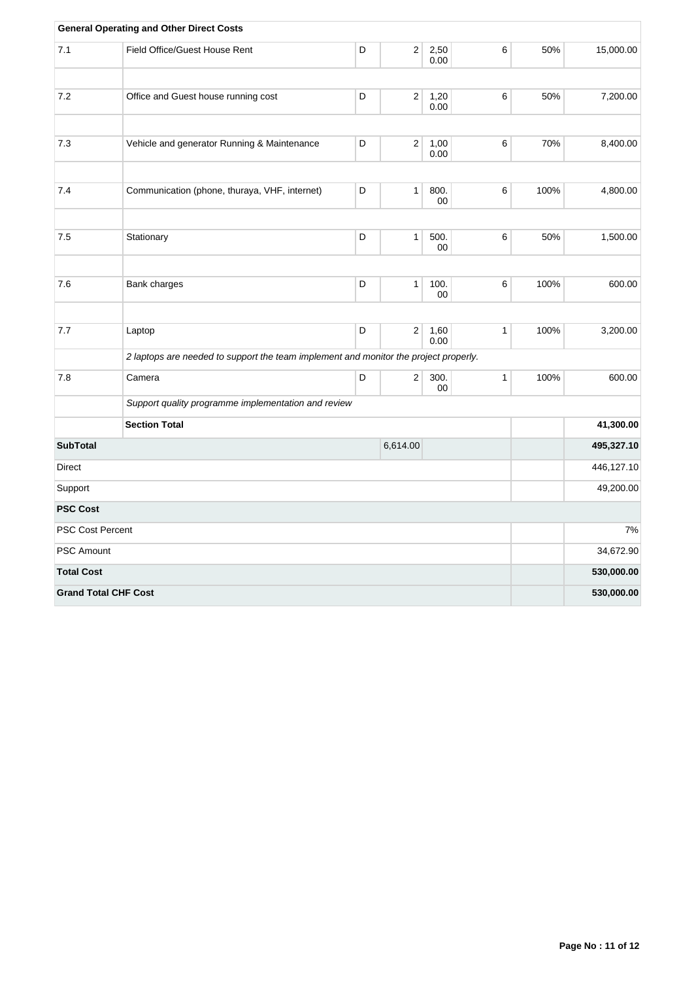|                             | <b>General Operating and Other Direct Costs</b>                                      |    |                  |              |              |      |            |
|-----------------------------|--------------------------------------------------------------------------------------|----|------------------|--------------|--------------|------|------------|
| 7.1                         | Field Office/Guest House Rent                                                        | D  | $\overline{2}$   | 2,50<br>0.00 | 6            | 50%  | 15,000.00  |
|                             |                                                                                      |    |                  |              |              |      |            |
| 7.2                         | Office and Guest house running cost                                                  | D  | 2                | 1,20<br>0.00 | 6            | 50%  | 7,200.00   |
|                             |                                                                                      |    |                  |              |              |      |            |
| 7.3                         | Vehicle and generator Running & Maintenance                                          | D  | $\boldsymbol{2}$ | 1,00<br>0.00 | 6            | 70%  | 8,400.00   |
| 7.4                         | Communication (phone, thuraya, VHF, internet)                                        | D  | 1                | 800.         | 6            | 100% | 4,800.00   |
|                             |                                                                                      |    |                  | 00           |              |      |            |
|                             |                                                                                      | D  |                  |              |              |      |            |
| 7.5                         | Stationary                                                                           |    | 1                | 500.<br>00   | 6            | 50%  | 1,500.00   |
|                             |                                                                                      |    |                  |              |              |      |            |
| 7.6                         | Bank charges                                                                         | D  | 1                | 100.<br>00   | 6            | 100% | 600.00     |
|                             |                                                                                      |    |                  |              |              |      |            |
| 7.7                         | Laptop                                                                               | D  | 2                | 1,60<br>0.00 | $\mathbf{1}$ | 100% | 3,200.00   |
|                             | 2 laptops are needed to support the team implement and monitor the project properly. |    |                  |              |              |      |            |
| 7.8                         | Camera                                                                               | D  | $\boldsymbol{2}$ | 300.<br>00   | $\mathbf{1}$ | 100% | 600.00     |
|                             | Support quality programme implementation and review                                  |    |                  |              |              |      |            |
|                             | <b>Section Total</b>                                                                 |    |                  |              |              |      | 41,300.00  |
| <b>SubTotal</b>             |                                                                                      |    | 495,327.10       |              |              |      |            |
| Direct                      |                                                                                      |    | 446,127.10       |              |              |      |            |
| Support                     |                                                                                      |    | 49,200.00        |              |              |      |            |
| <b>PSC Cost</b>             |                                                                                      |    |                  |              |              |      |            |
| <b>PSC Cost Percent</b>     |                                                                                      | 7% |                  |              |              |      |            |
| <b>PSC Amount</b>           |                                                                                      |    |                  |              |              |      | 34,672.90  |
| <b>Total Cost</b>           |                                                                                      |    |                  |              |              |      | 530,000.00 |
| <b>Grand Total CHF Cost</b> |                                                                                      |    |                  |              |              |      | 530,000.00 |